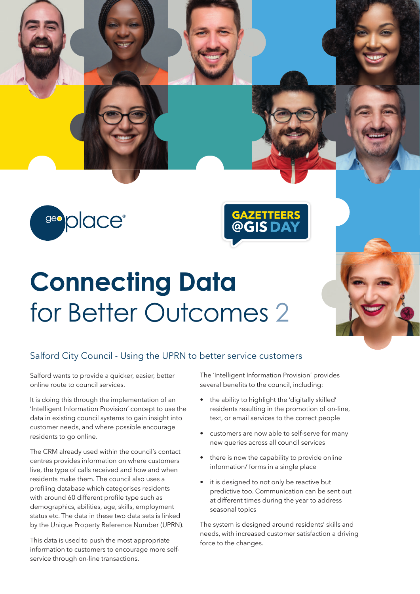seo place®

## **Connecting Data**  for Better Outcomes 2

## Salford City Council - Using the UPRN to better service customers

Salford wants to provide a quicker, easier, better online route to council services.

It is doing this through the implementation of an 'Intelligent Information Provision' concept to use the data in existing council systems to gain insight into customer needs, and where possible encourage residents to go online.

The CRM already used within the council's contact centres provides information on where customers live, the type of calls received and how and when residents make them. The council also uses a profiling database which categorises residents with around 60 different profile type such as demographics, abilities, age, skills, employment status etc. The data in these two data sets is linked by the Unique Property Reference Number (UPRN).

This data is used to push the most appropriate information to customers to encourage more selfservice through on-line transactions.

The 'Intelligent Information Provision' provides several benefits to the council, including:

**GAZETTEER**<br>@GISDA

- the ability to highlight the 'digitally skilled' residents resulting in the promotion of on-line, text, or email services to the correct people
- customers are now able to self-serve for many new queries across all council services
- there is now the capability to provide online information/ forms in a single place
- it is designed to not only be reactive but predictive too. Communication can be sent out at different times during the year to address seasonal topics

The system is designed around residents' skills and needs, with increased customer satisfaction a driving force to the changes.